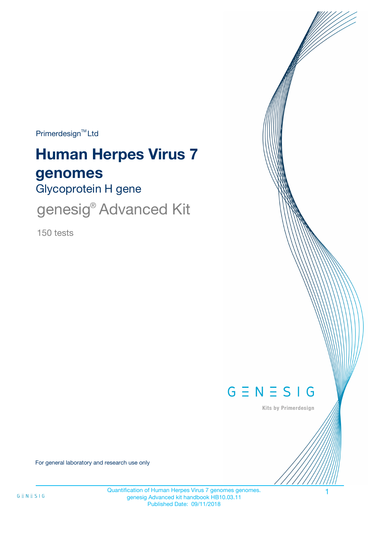$Primerdesign^{\text{TM}}$ Ltd

# **Human Herpes Virus 7 genomes**

Glycoprotein H gene

genesig<sup>®</sup> Advanced Kit

150 tests



Kits by Primerdesign

For general laboratory and research use only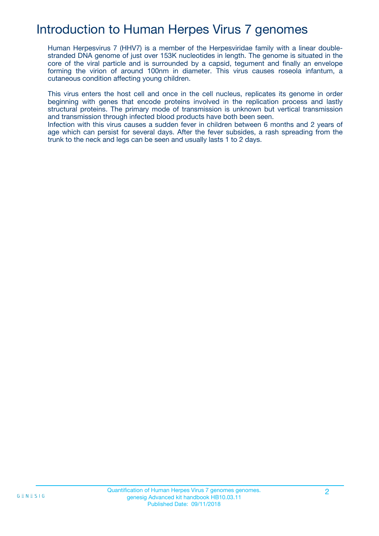### Introduction to Human Herpes Virus 7 genomes

Human Herpesvirus 7 (HHV7) is a member of the Herpesviridae family with a linear doublestranded DNA genome of just over 153K nucleotides in length. The genome is situated in the core of the viral particle and is surrounded by a capsid, tegument and finally an envelope forming the virion of around 100nm in diameter. This virus causes roseola infantum, a cutaneous condition affecting young children.

This virus enters the host cell and once in the cell nucleus, replicates its genome in order beginning with genes that encode proteins involved in the replication process and lastly structural proteins. The primary mode of transmission is unknown but vertical transmission and transmission through infected blood products have both been seen.

Infection with this virus causes a sudden fever in children between 6 months and 2 years of age which can persist for several days. After the fever subsides, a rash spreading from the trunk to the neck and legs can be seen and usually lasts 1 to 2 days.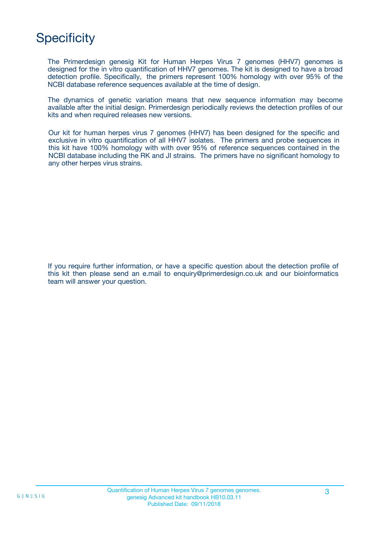# **Specificity**

The Primerdesign genesig Kit for Human Herpes Virus 7 genomes (HHV7) genomes is designed for the in vitro quantification of HHV7 genomes. The kit is designed to have a broad detection profile. Specifically, the primers represent 100% homology with over 95% of the NCBI database reference sequences available at the time of design.

The dynamics of genetic variation means that new sequence information may become available after the initial design. Primerdesign periodically reviews the detection profiles of our kits and when required releases new versions.

Our kit for human herpes virus 7 genomes (HHV7) has been designed for the specific and exclusive in vitro quantification of all HHV7 isolates. The primers and probe sequences in this kit have 100% homology with with over 95% of reference sequences contained in the NCBI database including the RK and JI strains. The primers have no significant homology to any other herpes virus strains.

If you require further information, or have a specific question about the detection profile of this kit then please send an e.mail to enquiry@primerdesign.co.uk and our bioinformatics team will answer your question.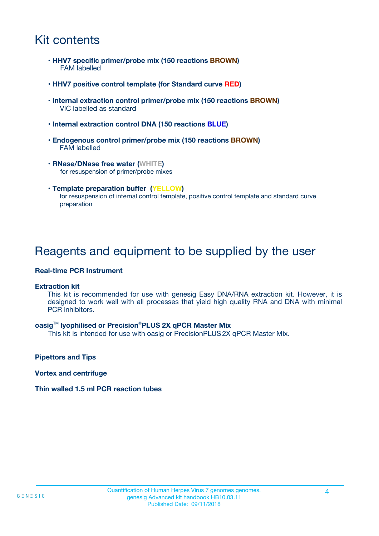### Kit contents

- **HHV7 specific primer/probe mix (150 reactions BROWN)** FAM labelled
- **HHV7 positive control template (for Standard curve RED)**
- **Internal extraction control primer/probe mix (150 reactions BROWN)** VIC labelled as standard
- **Internal extraction control DNA (150 reactions BLUE)**
- **Endogenous control primer/probe mix (150 reactions BROWN)** FAM labelled
- **RNase/DNase free water (WHITE)** for resuspension of primer/probe mixes
- **Template preparation buffer (YELLOW)** for resuspension of internal control template, positive control template and standard curve preparation

### Reagents and equipment to be supplied by the user

#### **Real-time PCR Instrument**

#### **Extraction kit**

This kit is recommended for use with genesig Easy DNA/RNA extraction kit. However, it is designed to work well with all processes that yield high quality RNA and DNA with minimal PCR inhibitors.

#### **oasig**TM **lyophilised or Precision**®**PLUS 2X qPCR Master Mix**

This kit is intended for use with oasig or PrecisionPLUS2X qPCR Master Mix.

**Pipettors and Tips**

**Vortex and centrifuge**

#### **Thin walled 1.5 ml PCR reaction tubes**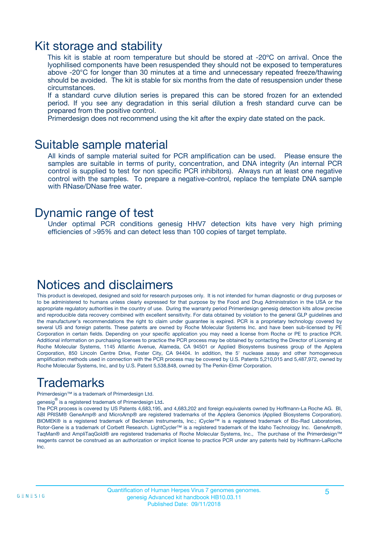### Kit storage and stability

This kit is stable at room temperature but should be stored at -20ºC on arrival. Once the lyophilised components have been resuspended they should not be exposed to temperatures above -20°C for longer than 30 minutes at a time and unnecessary repeated freeze/thawing should be avoided. The kit is stable for six months from the date of resuspension under these circumstances.

If a standard curve dilution series is prepared this can be stored frozen for an extended period. If you see any degradation in this serial dilution a fresh standard curve can be prepared from the positive control.

Primerdesign does not recommend using the kit after the expiry date stated on the pack.

### Suitable sample material

All kinds of sample material suited for PCR amplification can be used. Please ensure the samples are suitable in terms of purity, concentration, and DNA integrity (An internal PCR control is supplied to test for non specific PCR inhibitors). Always run at least one negative control with the samples. To prepare a negative-control, replace the template DNA sample with RNase/DNase free water.

### Dynamic range of test

Under optimal PCR conditions genesig HHV7 detection kits have very high priming efficiencies of >95% and can detect less than 100 copies of target template.

### Notices and disclaimers

This product is developed, designed and sold for research purposes only. It is not intended for human diagnostic or drug purposes or to be administered to humans unless clearly expressed for that purpose by the Food and Drug Administration in the USA or the appropriate regulatory authorities in the country of use. During the warranty period Primerdesign genesig detection kits allow precise and reproducible data recovery combined with excellent sensitivity. For data obtained by violation to the general GLP guidelines and the manufacturer's recommendations the right to claim under guarantee is expired. PCR is a proprietary technology covered by several US and foreign patents. These patents are owned by Roche Molecular Systems Inc. and have been sub-licensed by PE Corporation in certain fields. Depending on your specific application you may need a license from Roche or PE to practice PCR. Additional information on purchasing licenses to practice the PCR process may be obtained by contacting the Director of Licensing at Roche Molecular Systems, 1145 Atlantic Avenue, Alameda, CA 94501 or Applied Biosystems business group of the Applera Corporation, 850 Lincoln Centre Drive, Foster City, CA 94404. In addition, the 5' nuclease assay and other homogeneous amplification methods used in connection with the PCR process may be covered by U.S. Patents 5,210,015 and 5,487,972, owned by Roche Molecular Systems, Inc, and by U.S. Patent 5,538,848, owned by The Perkin-Elmer Corporation.

# Trademarks

Primerdesign™ is a trademark of Primerdesign Ltd.

genesig $^\circledR$  is a registered trademark of Primerdesign Ltd.

The PCR process is covered by US Patents 4,683,195, and 4,683,202 and foreign equivalents owned by Hoffmann-La Roche AG. BI, ABI PRISM® GeneAmp® and MicroAmp® are registered trademarks of the Applera Genomics (Applied Biosystems Corporation). BIOMEK® is a registered trademark of Beckman Instruments, Inc.; iCycler™ is a registered trademark of Bio-Rad Laboratories, Rotor-Gene is a trademark of Corbett Research. LightCycler™ is a registered trademark of the Idaho Technology Inc. GeneAmp®, TaqMan® and AmpliTaqGold® are registered trademarks of Roche Molecular Systems, Inc., The purchase of the Primerdesign™ reagents cannot be construed as an authorization or implicit license to practice PCR under any patents held by Hoffmann-LaRoche Inc.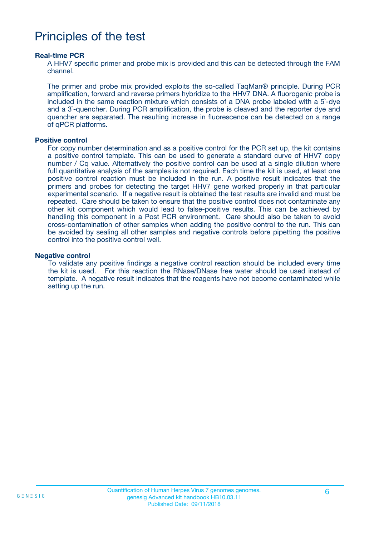### Principles of the test

#### **Real-time PCR**

A HHV7 specific primer and probe mix is provided and this can be detected through the FAM channel.

The primer and probe mix provided exploits the so-called TaqMan® principle. During PCR amplification, forward and reverse primers hybridize to the HHV7 DNA. A fluorogenic probe is included in the same reaction mixture which consists of a DNA probe labeled with a 5`-dye and a 3`-quencher. During PCR amplification, the probe is cleaved and the reporter dye and quencher are separated. The resulting increase in fluorescence can be detected on a range of qPCR platforms.

#### **Positive control**

For copy number determination and as a positive control for the PCR set up, the kit contains a positive control template. This can be used to generate a standard curve of HHV7 copy number / Cq value. Alternatively the positive control can be used at a single dilution where full quantitative analysis of the samples is not required. Each time the kit is used, at least one positive control reaction must be included in the run. A positive result indicates that the primers and probes for detecting the target HHV7 gene worked properly in that particular experimental scenario. If a negative result is obtained the test results are invalid and must be repeated. Care should be taken to ensure that the positive control does not contaminate any other kit component which would lead to false-positive results. This can be achieved by handling this component in a Post PCR environment. Care should also be taken to avoid cross-contamination of other samples when adding the positive control to the run. This can be avoided by sealing all other samples and negative controls before pipetting the positive control into the positive control well.

#### **Negative control**

To validate any positive findings a negative control reaction should be included every time the kit is used. For this reaction the RNase/DNase free water should be used instead of template. A negative result indicates that the reagents have not become contaminated while setting up the run.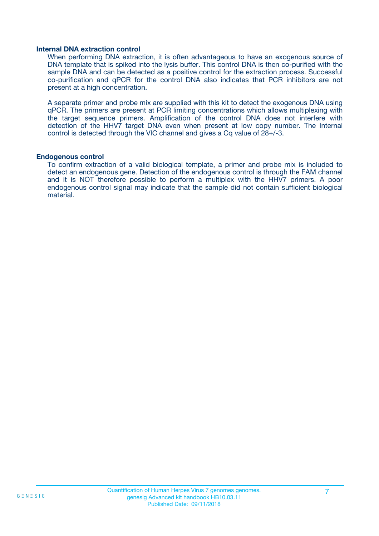#### **Internal DNA extraction control**

When performing DNA extraction, it is often advantageous to have an exogenous source of DNA template that is spiked into the lysis buffer. This control DNA is then co-purified with the sample DNA and can be detected as a positive control for the extraction process. Successful co-purification and qPCR for the control DNA also indicates that PCR inhibitors are not present at a high concentration.

A separate primer and probe mix are supplied with this kit to detect the exogenous DNA using qPCR. The primers are present at PCR limiting concentrations which allows multiplexing with the target sequence primers. Amplification of the control DNA does not interfere with detection of the HHV7 target DNA even when present at low copy number. The Internal control is detected through the VIC channel and gives a Cq value of 28+/-3.

#### **Endogenous control**

To confirm extraction of a valid biological template, a primer and probe mix is included to detect an endogenous gene. Detection of the endogenous control is through the FAM channel and it is NOT therefore possible to perform a multiplex with the HHV7 primers. A poor endogenous control signal may indicate that the sample did not contain sufficient biological material.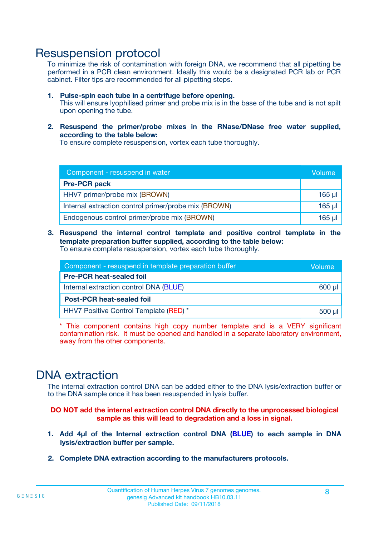### Resuspension protocol

To minimize the risk of contamination with foreign DNA, we recommend that all pipetting be performed in a PCR clean environment. Ideally this would be a designated PCR lab or PCR cabinet. Filter tips are recommended for all pipetting steps.

- **1. Pulse-spin each tube in a centrifuge before opening.** This will ensure lyophilised primer and probe mix is in the base of the tube and is not spilt upon opening the tube.
- **2. Resuspend the primer/probe mixes in the RNase/DNase free water supplied, according to the table below:**

To ensure complete resuspension, vortex each tube thoroughly.

| Component - resuspend in water                       |          |  |
|------------------------------------------------------|----------|--|
| <b>Pre-PCR pack</b>                                  |          |  |
| HHV7 primer/probe mix (BROWN)                        | $165$ µ  |  |
| Internal extraction control primer/probe mix (BROWN) | $165$ µl |  |
| Endogenous control primer/probe mix (BROWN)          | 165 µl   |  |

**3. Resuspend the internal control template and positive control template in the template preparation buffer supplied, according to the table below:** To ensure complete resuspension, vortex each tube thoroughly.

| Component - resuspend in template preparation buffer |  |  |  |
|------------------------------------------------------|--|--|--|
| <b>Pre-PCR heat-sealed foil</b>                      |  |  |  |
| Internal extraction control DNA (BLUE)               |  |  |  |
| <b>Post-PCR heat-sealed foil</b>                     |  |  |  |
| HHV7 Positive Control Template (RED) *               |  |  |  |

\* This component contains high copy number template and is a VERY significant contamination risk. It must be opened and handled in a separate laboratory environment, away from the other components.

### DNA extraction

The internal extraction control DNA can be added either to the DNA lysis/extraction buffer or to the DNA sample once it has been resuspended in lysis buffer.

**DO NOT add the internal extraction control DNA directly to the unprocessed biological sample as this will lead to degradation and a loss in signal.**

- **1. Add 4µl of the Internal extraction control DNA (BLUE) to each sample in DNA lysis/extraction buffer per sample.**
- **2. Complete DNA extraction according to the manufacturers protocols.**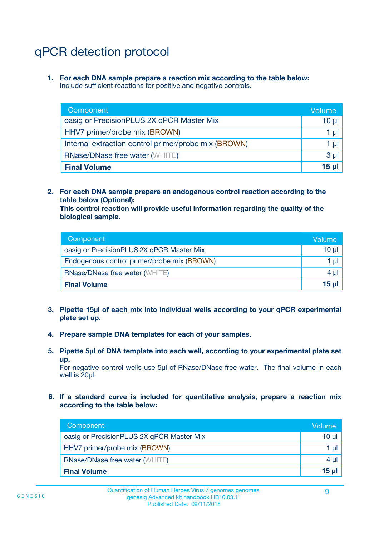# qPCR detection protocol

**1. For each DNA sample prepare a reaction mix according to the table below:** Include sufficient reactions for positive and negative controls.

| Component                                            | Volume   |
|------------------------------------------------------|----------|
| oasig or PrecisionPLUS 2X qPCR Master Mix            | $10 \mu$ |
| HHV7 primer/probe mix (BROWN)                        | 1 µI l   |
| Internal extraction control primer/probe mix (BROWN) | 1 µl     |
| <b>RNase/DNase free water (WHITE)</b>                | $3 \mu$  |
| <b>Final Volume</b>                                  | 15 µl    |

**2. For each DNA sample prepare an endogenous control reaction according to the table below (Optional):**

**This control reaction will provide useful information regarding the quality of the biological sample.**

| Component                                   | Volume   |
|---------------------------------------------|----------|
| oasig or PrecisionPLUS 2X qPCR Master Mix   | $10 \mu$ |
| Endogenous control primer/probe mix (BROWN) | 1 µI     |
| <b>RNase/DNase free water (WHITE)</b>       | $4 \mu$  |
| <b>Final Volume</b>                         | 15 µl    |

- **3. Pipette 15µl of each mix into individual wells according to your qPCR experimental plate set up.**
- **4. Prepare sample DNA templates for each of your samples.**
- **5. Pipette 5µl of DNA template into each well, according to your experimental plate set up.**

For negative control wells use 5µl of RNase/DNase free water. The final volume in each well is 20ul.

**6. If a standard curve is included for quantitative analysis, prepare a reaction mix according to the table below:**

| Component                                 | Volume          |
|-------------------------------------------|-----------------|
| oasig or PrecisionPLUS 2X qPCR Master Mix | $10 \mu$        |
| HHV7 primer/probe mix (BROWN)             |                 |
| <b>RNase/DNase free water (WHITE)</b>     | $4 \mu$         |
| <b>Final Volume</b>                       | 15 <sub>µ</sub> |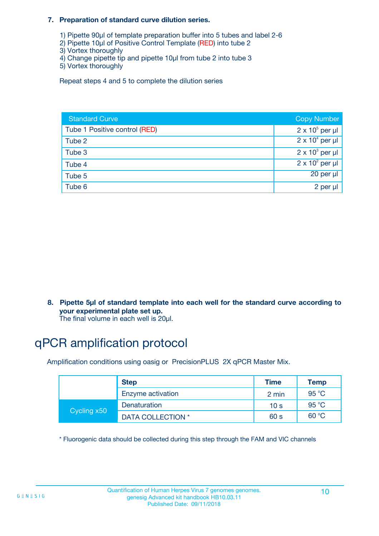#### **7. Preparation of standard curve dilution series.**

- 1) Pipette 90µl of template preparation buffer into 5 tubes and label 2-6
- 2) Pipette 10µl of Positive Control Template (RED) into tube 2
- 3) Vortex thoroughly
- 4) Change pipette tip and pipette 10µl from tube 2 into tube 3
- 5) Vortex thoroughly

Repeat steps 4 and 5 to complete the dilution series

| <b>Standard Curve</b>         | <b>Copy Number</b>     |
|-------------------------------|------------------------|
| Tube 1 Positive control (RED) | $2 \times 10^5$ per µl |
| Tube 2                        | $2 \times 10^4$ per µl |
| Tube 3                        | $2 \times 10^3$ per µl |
| Tube 4                        | $2 \times 10^2$ per µl |
| Tube 5                        | 20 per µl              |
| Tube 6                        | 2 per µl               |

**8. Pipette 5µl of standard template into each well for the standard curve according to your experimental plate set up.**

#### The final volume in each well is 20µl.

# qPCR amplification protocol

Amplification conditions using oasig or PrecisionPLUS 2X qPCR Master Mix.

|             | <b>Step</b>       | <b>Time</b>     | Temp    |
|-------------|-------------------|-----------------|---------|
|             | Enzyme activation | 2 min           | 95 °C   |
| Cycling x50 | Denaturation      | 10 <sub>s</sub> | 95 $°C$ |
|             | DATA COLLECTION * | 60 s            | 60 °C   |

\* Fluorogenic data should be collected during this step through the FAM and VIC channels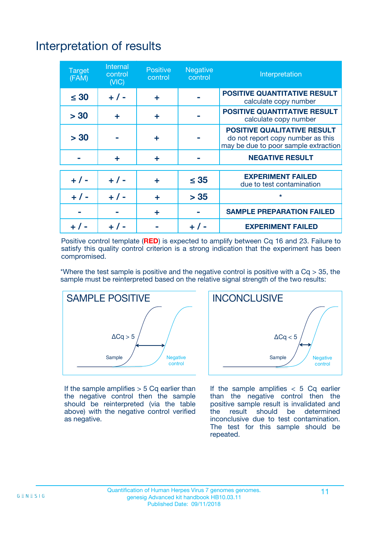# Interpretation of results

| <b>Target</b><br>(FAM) | <b>Internal</b><br>control<br>(NIC) | <b>Positive</b><br>control | <b>Negative</b><br>control | Interpretation                                                                                                  |
|------------------------|-------------------------------------|----------------------------|----------------------------|-----------------------------------------------------------------------------------------------------------------|
| $\leq 30$              | $+ 1 -$                             | ÷                          |                            | <b>POSITIVE QUANTITATIVE RESULT</b><br>calculate copy number                                                    |
| > 30                   | ٠                                   | ÷                          |                            | <b>POSITIVE QUANTITATIVE RESULT</b><br>calculate copy number                                                    |
| > 30                   |                                     | ÷                          |                            | <b>POSITIVE QUALITATIVE RESULT</b><br>do not report copy number as this<br>may be due to poor sample extraction |
|                        | ÷                                   | ÷                          |                            | <b>NEGATIVE RESULT</b>                                                                                          |
| $+ 1 -$                | $+ 1 -$                             | ÷                          | $\leq$ 35                  | <b>EXPERIMENT FAILED</b><br>due to test contamination                                                           |
| $+$ / -                | $+ 1 -$                             | ÷                          | > 35                       | $\star$                                                                                                         |
|                        |                                     | ÷                          |                            | <b>SAMPLE PREPARATION FAILED</b>                                                                                |
|                        |                                     |                            | $+$ /                      | <b>EXPERIMENT FAILED</b>                                                                                        |

Positive control template (**RED**) is expected to amplify between Cq 16 and 23. Failure to satisfy this quality control criterion is a strong indication that the experiment has been compromised.

\*Where the test sample is positive and the negative control is positive with a  $Ca > 35$ , the sample must be reinterpreted based on the relative signal strength of the two results:



If the sample amplifies  $> 5$  Cq earlier than the negative control then the sample should be reinterpreted (via the table above) with the negative control verified as negative.



If the sample amplifies  $< 5$  Cq earlier than the negative control then the positive sample result is invalidated and<br>the result should be determined  $the$  result should be inconclusive due to test contamination. The test for this sample should be repeated.